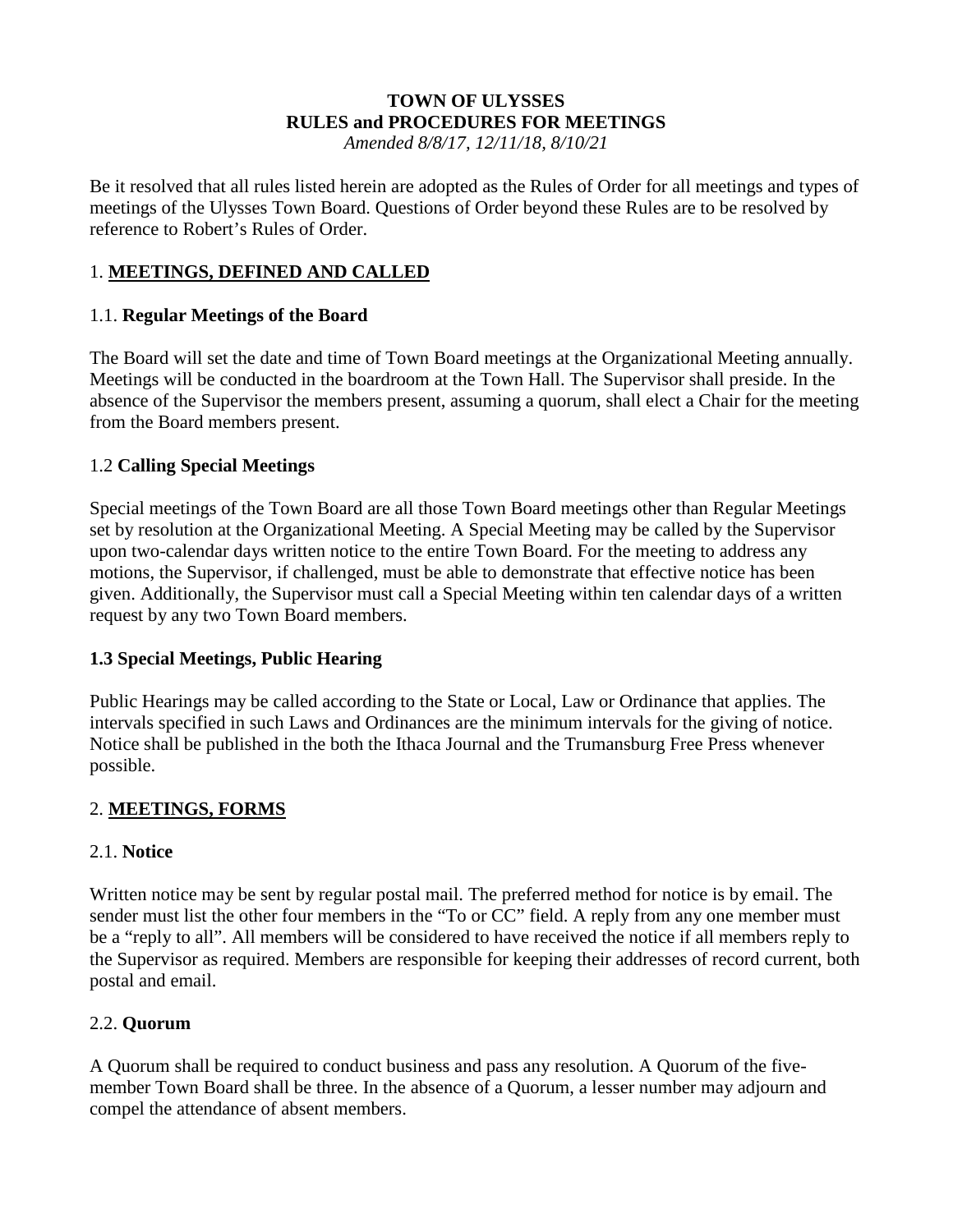# **TOWN OF ULYSSES RULES and PROCEDURES FOR MEETINGS**

*Amended 8/8/17, 12/11/18, 8/10/21*

Be it resolved that all rules listed herein are adopted as the Rules of Order for all meetings and types of meetings of the Ulysses Town Board. Questions of Order beyond these Rules are to be resolved by reference to Robert's Rules of Order.

### 1. **MEETINGS, DEFINED AND CALLED**

#### 1.1. **Regular Meetings of the Board**

The Board will set the date and time of Town Board meetings at the Organizational Meeting annually. Meetings will be conducted in the boardroom at the Town Hall. The Supervisor shall preside. In the absence of the Supervisor the members present, assuming a quorum, shall elect a Chair for the meeting from the Board members present.

### 1.2 **Calling Special Meetings**

Special meetings of the Town Board are all those Town Board meetings other than Regular Meetings set by resolution at the Organizational Meeting. A Special Meeting may be called by the Supervisor upon two-calendar days written notice to the entire Town Board. For the meeting to address any motions, the Supervisor, if challenged, must be able to demonstrate that effective notice has been given. Additionally, the Supervisor must call a Special Meeting within ten calendar days of a written request by any two Town Board members.

#### **1.3 Special Meetings, Public Hearing**

Public Hearings may be called according to the State or Local, Law or Ordinance that applies. The intervals specified in such Laws and Ordinances are the minimum intervals for the giving of notice. Notice shall be published in the both the Ithaca Journal and the Trumansburg Free Press whenever possible.

#### 2. **MEETINGS, FORMS**

#### 2.1. **Notice**

Written notice may be sent by regular postal mail. The preferred method for notice is by email. The sender must list the other four members in the "To or CC" field. A reply from any one member must be a "reply to all". All members will be considered to have received the notice if all members reply to the Supervisor as required. Members are responsible for keeping their addresses of record current, both postal and email.

#### 2.2. **Quorum**

A Quorum shall be required to conduct business and pass any resolution. A Quorum of the fivemember Town Board shall be three. In the absence of a Quorum, a lesser number may adjourn and compel the attendance of absent members.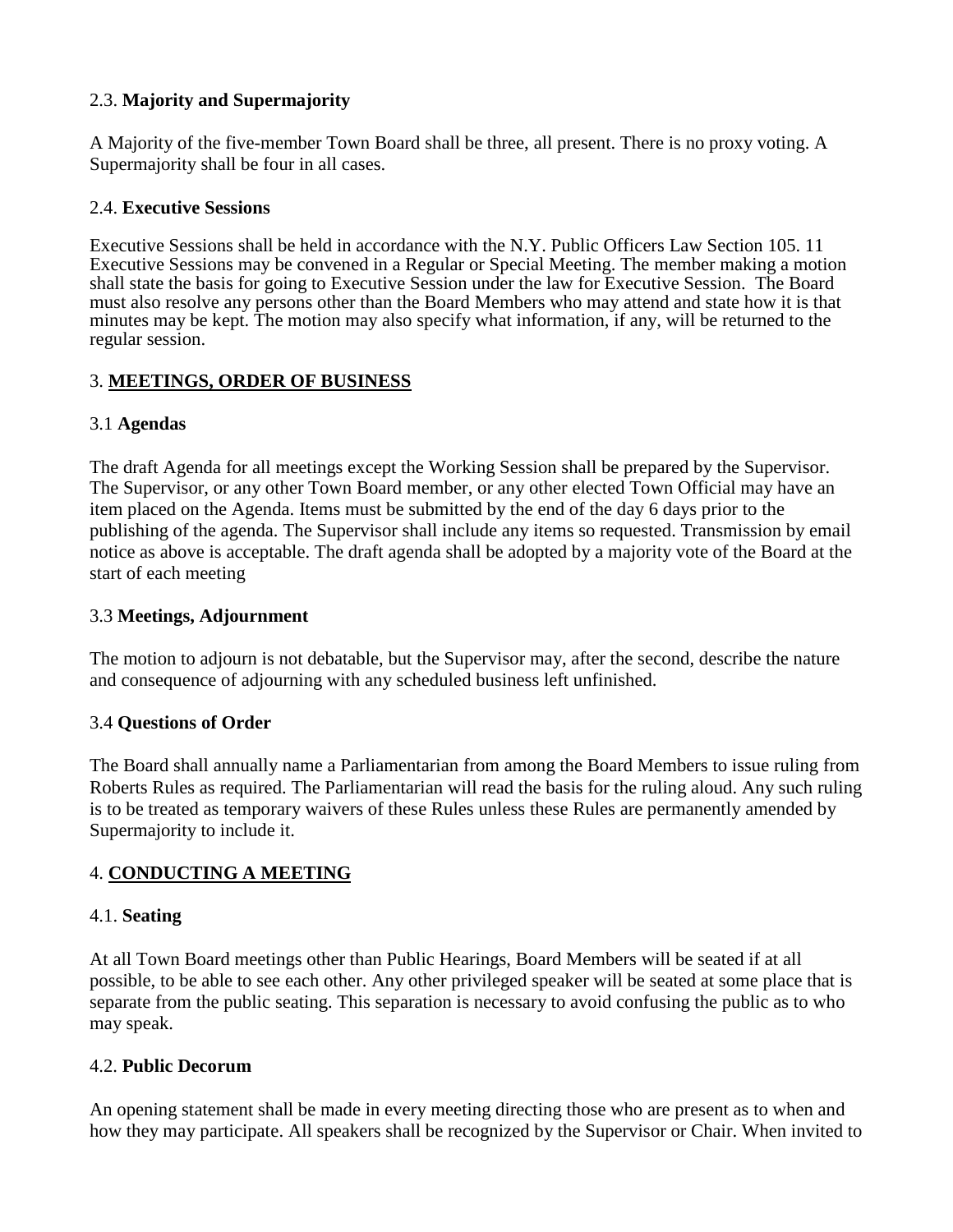#### 2.3. **Majority and Supermajority**

A Majority of the five-member Town Board shall be three, all present. There is no proxy voting. A Supermajority shall be four in all cases.

#### 2.4. **Executive Sessions**

Executive Sessions shall be held in accordance with the N.Y. Public Officers Law Section 105. 11 Executive Sessions may be convened in a Regular or Special Meeting. The member making a motion shall state the basis for going to Executive Session under the law for Executive Session. The Board must also resolve any persons other than the Board Members who may attend and state how it is that minutes may be kept. The motion may also specify what information, if any, will be returned to the regular session.

### 3. **MEETINGS, ORDER OF BUSINESS**

#### 3.1 **Agendas**

The draft Agenda for all meetings except the Working Session shall be prepared by the Supervisor. The Supervisor, or any other Town Board member, or any other elected Town Official may have an item placed on the Agenda. Items must be submitted by the end of the day 6 days prior to the publishing of the agenda. The Supervisor shall include any items so requested. Transmission by email notice as above is acceptable. The draft agenda shall be adopted by a majority vote of the Board at the start of each meeting

#### 3.3 **Meetings, Adjournment**

The motion to adjourn is not debatable, but the Supervisor may, after the second, describe the nature and consequence of adjourning with any scheduled business left unfinished.

#### 3.4 **Questions of Order**

The Board shall annually name a Parliamentarian from among the Board Members to issue ruling from Roberts Rules as required. The Parliamentarian will read the basis for the ruling aloud. Any such ruling is to be treated as temporary waivers of these Rules unless these Rules are permanently amended by Supermajority to include it.

#### 4. **CONDUCTING A MEETING**

#### 4.1. **Seating**

At all Town Board meetings other than Public Hearings, Board Members will be seated if at all possible, to be able to see each other. Any other privileged speaker will be seated at some place that is separate from the public seating. This separation is necessary to avoid confusing the public as to who may speak.

#### 4.2. **Public Decorum**

An opening statement shall be made in every meeting directing those who are present as to when and how they may participate. All speakers shall be recognized by the Supervisor or Chair. When invited to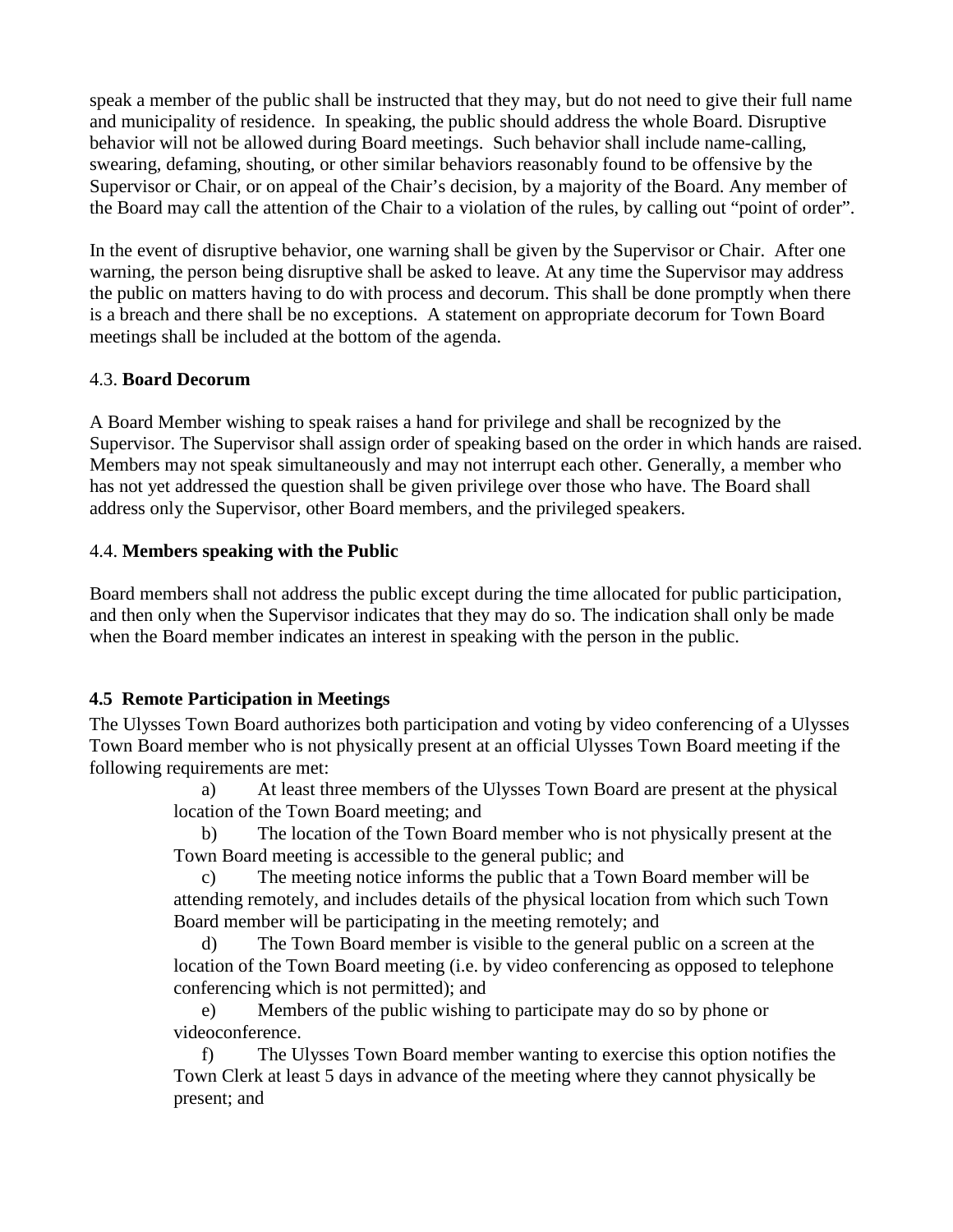speak a member of the public shall be instructed that they may, but do not need to give their full name and municipality of residence. In speaking, the public should address the whole Board. Disruptive behavior will not be allowed during Board meetings. Such behavior shall include name-calling, swearing, defaming, shouting, or other similar behaviors reasonably found to be offensive by the Supervisor or Chair, or on appeal of the Chair's decision, by a majority of the Board. Any member of the Board may call the attention of the Chair to a violation of the rules, by calling out "point of order".

In the event of disruptive behavior, one warning shall be given by the Supervisor or Chair. After one warning, the person being disruptive shall be asked to leave. At any time the Supervisor may address the public on matters having to do with process and decorum. This shall be done promptly when there is a breach and there shall be no exceptions. A statement on appropriate decorum for Town Board meetings shall be included at the bottom of the agenda.

#### 4.3. **Board Decorum**

A Board Member wishing to speak raises a hand for privilege and shall be recognized by the Supervisor. The Supervisor shall assign order of speaking based on the order in which hands are raised. Members may not speak simultaneously and may not interrupt each other. Generally, a member who has not yet addressed the question shall be given privilege over those who have. The Board shall address only the Supervisor, other Board members, and the privileged speakers.

### 4.4. **Members speaking with the Public**

Board members shall not address the public except during the time allocated for public participation, and then only when the Supervisor indicates that they may do so. The indication shall only be made when the Board member indicates an interest in speaking with the person in the public.

# **4.5 Remote Participation in Meetings**

The Ulysses Town Board authorizes both participation and voting by video conferencing of a Ulysses Town Board member who is not physically present at an official Ulysses Town Board meeting if the following requirements are met:

a) At least three members of the Ulysses Town Board are present at the physical location of the Town Board meeting; and

b) The location of the Town Board member who is not physically present at the Town Board meeting is accessible to the general public; and

c) The meeting notice informs the public that a Town Board member will be attending remotely, and includes details of the physical location from which such Town Board member will be participating in the meeting remotely; and

d) The Town Board member is visible to the general public on a screen at the location of the Town Board meeting (i.e. by video conferencing as opposed to telephone conferencing which is not permitted); and

e) Members of the public wishing to participate may do so by phone or videoconference.

f) The Ulysses Town Board member wanting to exercise this option notifies the Town Clerk at least 5 days in advance of the meeting where they cannot physically be present; and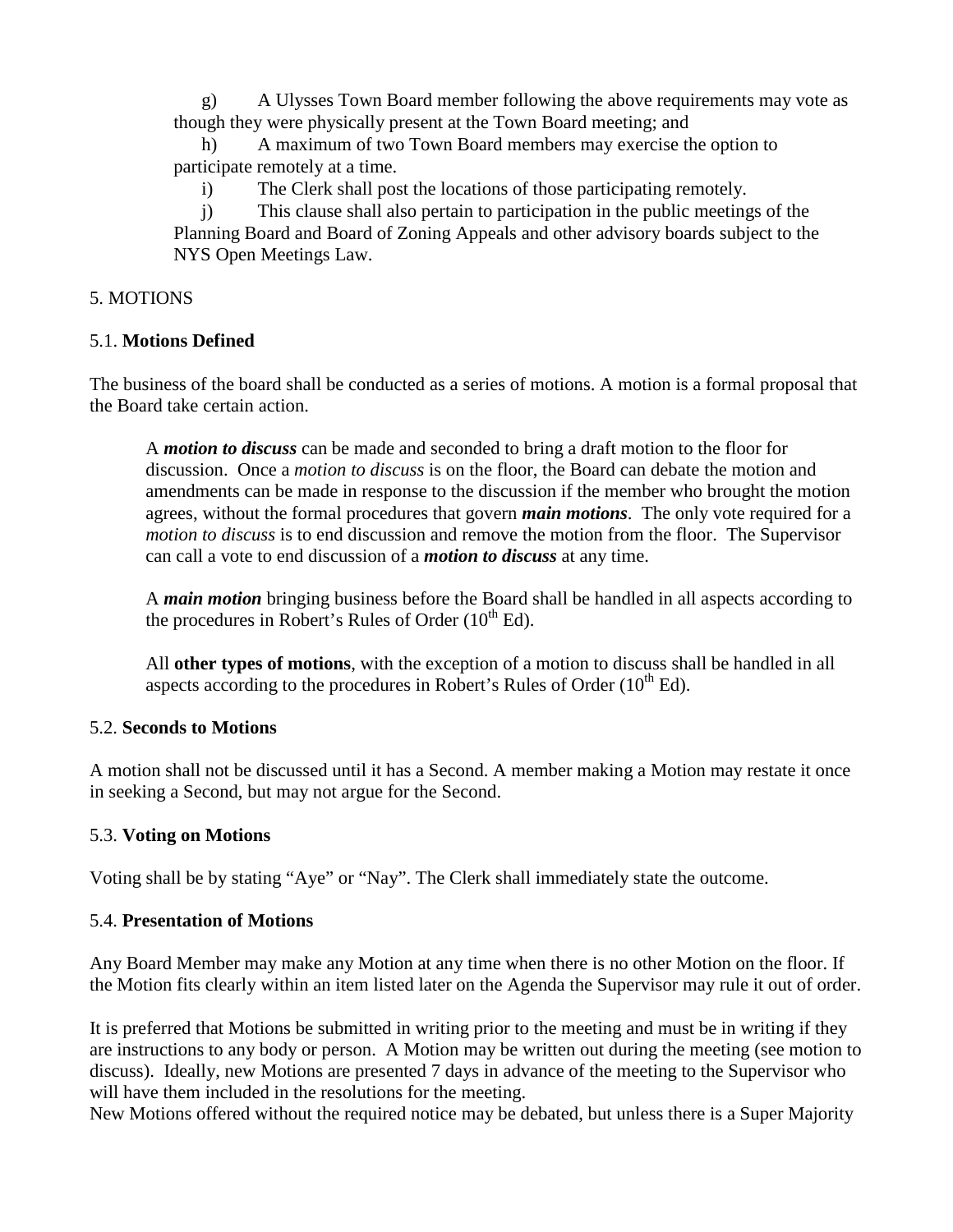g) A Ulysses Town Board member following the above requirements may vote as though they were physically present at the Town Board meeting; and

h) A maximum of two Town Board members may exercise the option to participate remotely at a time.

i) The Clerk shall post the locations of those participating remotely.

j) This clause shall also pertain to participation in the public meetings of the Planning Board and Board of Zoning Appeals and other advisory boards subject to the NYS Open Meetings Law.

#### 5. MOTIONS

### 5.1. **Motions Defined**

The business of the board shall be conducted as a series of motions. A motion is a formal proposal that the Board take certain action.

A *motion to discuss* can be made and seconded to bring a draft motion to the floor for discussion. Once a *motion to discuss* is on the floor, the Board can debate the motion and amendments can be made in response to the discussion if the member who brought the motion agrees, without the formal procedures that govern *main motions*. The only vote required for a *motion to discuss* is to end discussion and remove the motion from the floor. The Supervisor can call a vote to end discussion of a *motion to discuss* at any time.

A *main motion* bringing business before the Board shall be handled in all aspects according to the procedures in Robert's Rules of Order  $(10^{th}$  Ed).

All **other types of motions**, with the exception of a motion to discuss shall be handled in all aspects according to the procedures in Robert's Rules of Order  $(10<sup>th</sup> Ed)$ .

#### 5.2. **Seconds to Motions**

A motion shall not be discussed until it has a Second. A member making a Motion may restate it once in seeking a Second, but may not argue for the Second.

#### 5.3. **Voting on Motions**

Voting shall be by stating "Aye" or "Nay". The Clerk shall immediately state the outcome.

#### 5.4. **Presentation of Motions**

Any Board Member may make any Motion at any time when there is no other Motion on the floor. If the Motion fits clearly within an item listed later on the Agenda the Supervisor may rule it out of order.

It is preferred that Motions be submitted in writing prior to the meeting and must be in writing if they are instructions to any body or person. A Motion may be written out during the meeting (see motion to discuss). Ideally, new Motions are presented 7 days in advance of the meeting to the Supervisor who will have them included in the resolutions for the meeting.

New Motions offered without the required notice may be debated, but unless there is a Super Majority